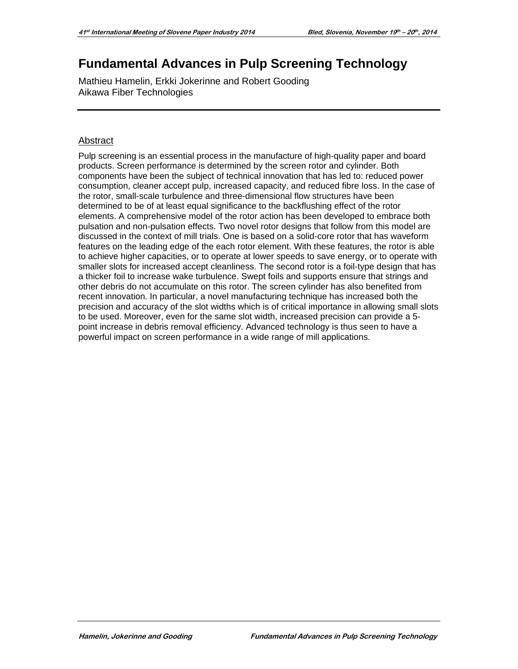# **Fundamental Advances in Pulp Screening Technology**

Mathieu Hamelin, Erkki Jokerinne and Robert Gooding Aikawa Fiber Technologies

# Abstract

Pulp screening is an essential process in the manufacture of high-quality paper and board products. Screen performance is determined by the screen rotor and cylinder. Both components have been the subject of technical innovation that has led to: reduced power consumption, cleaner accept pulp, increased capacity, and reduced fibre loss. In the case of the rotor, small-scale turbulence and three-dimensional flow structures have been determined to be of at least equal significance to the backflushing effect of the rotor elements. A comprehensive model of the rotor action has been developed to embrace both pulsation and non-pulsation effects. Two novel rotor designs that follow from this model are discussed in the context of mill trials. One is based on a solid-core rotor that has waveform features on the leading edge of the each rotor element. With these features, the rotor is able to achieve higher capacities, or to operate at lower speeds to save energy, or to operate with smaller slots for increased accept cleanliness. The second rotor is a foil-type design that has a thicker foil to increase wake turbulence. Swept foils and supports ensure that strings and other debris do not accumulate on this rotor. The screen cylinder has also benefited from recent innovation. In particular, a novel manufacturing technique has increased both the precision and accuracy of the slot widths which is of critical importance in allowing small slots to be used. Moreover, even for the same slot width, increased precision can provide a 5 point increase in debris removal efficiency. Advanced technology is thus seen to have a powerful impact on screen performance in a wide range of mill applications.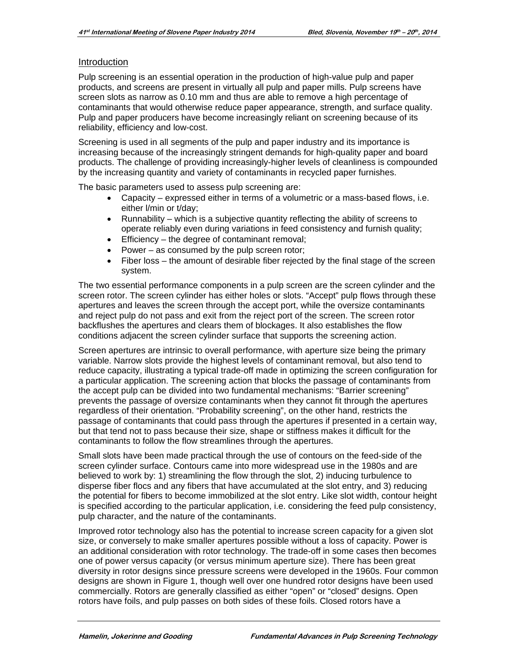#### Introduction

Pulp screening is an essential operation in the production of high-value pulp and paper products, and screens are present in virtually all pulp and paper mills. Pulp screens have screen slots as narrow as 0.10 mm and thus are able to remove a high percentage of contaminants that would otherwise reduce paper appearance, strength, and surface quality. Pulp and paper producers have become increasingly reliant on screening because of its reliability, efficiency and low-cost.

Screening is used in all segments of the pulp and paper industry and its importance is increasing because of the increasingly stringent demands for high-quality paper and board products. The challenge of providing increasingly-higher levels of cleanliness is compounded by the increasing quantity and variety of contaminants in recycled paper furnishes.

The basic parameters used to assess pulp screening are:

- Capacity expressed either in terms of a volumetric or a mass-based flows, i.e. either l/min or t/day;
- Runnability which is a subjective quantity reflecting the ability of screens to operate reliably even during variations in feed consistency and furnish quality;
- **Efficiency** the degree of contaminant removal;
- Power as consumed by the pulp screen rotor;
- Fiber loss the amount of desirable fiber rejected by the final stage of the screen system.

The two essential performance components in a pulp screen are the screen cylinder and the screen rotor. The screen cylinder has either holes or slots. "Accept" pulp flows through these apertures and leaves the screen through the accept port, while the oversize contaminants and reject pulp do not pass and exit from the reject port of the screen. The screen rotor backflushes the apertures and clears them of blockages. It also establishes the flow conditions adjacent the screen cylinder surface that supports the screening action.

Screen apertures are intrinsic to overall performance, with aperture size being the primary variable. Narrow slots provide the highest levels of contaminant removal, but also tend to reduce capacity, illustrating a typical trade-off made in optimizing the screen configuration for a particular application. The screening action that blocks the passage of contaminants from the accept pulp can be divided into two fundamental mechanisms: "Barrier screening" prevents the passage of oversize contaminants when they cannot fit through the apertures regardless of their orientation. "Probability screening", on the other hand, restricts the passage of contaminants that could pass through the apertures if presented in a certain way, but that tend not to pass because their size, shape or stiffness makes it difficult for the contaminants to follow the flow streamlines through the apertures.

Small slots have been made practical through the use of contours on the feed-side of the screen cylinder surface. Contours came into more widespread use in the 1980s and are believed to work by: 1) streamlining the flow through the slot, 2) inducing turbulence to disperse fiber flocs and any fibers that have accumulated at the slot entry, and 3) reducing the potential for fibers to become immobilized at the slot entry. Like slot width, contour height is specified according to the particular application, i.e. considering the feed pulp consistency, pulp character, and the nature of the contaminants.

Improved rotor technology also has the potential to increase screen capacity for a given slot size, or conversely to make smaller apertures possible without a loss of capacity. Power is an additional consideration with rotor technology. The trade-off in some cases then becomes one of power versus capacity (or versus minimum aperture size). There has been great diversity in rotor designs since pressure screens were developed in the 1960s. Four common designs are shown in Figure 1, though well over one hundred rotor designs have been used commercially. Rotors are generally classified as either "open" or "closed" designs. Open rotors have foils, and pulp passes on both sides of these foils. Closed rotors have a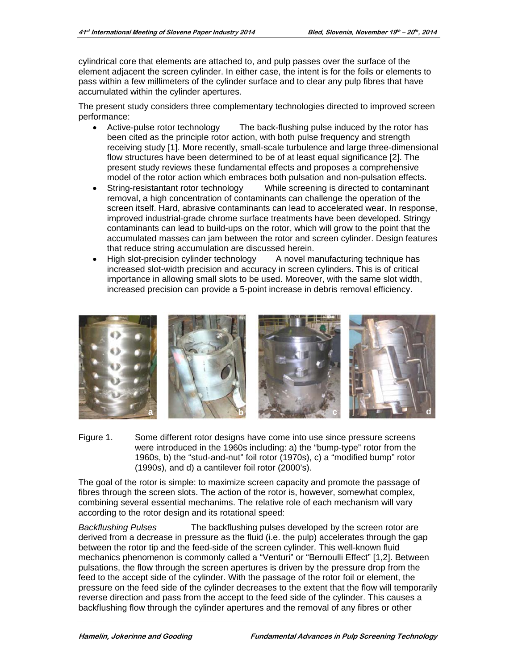cylindrical core that elements are attached to, and pulp passes over the surface of the element adjacent the screen cylinder. In either case, the intent is for the foils or elements to pass within a few millimeters of the cylinder surface and to clear any pulp fibres that have accumulated within the cylinder apertures.

The present study considers three complementary technologies directed to improved screen performance:

- Active-pulse rotor technology The back-flushing pulse induced by the rotor has  $\bullet$ been cited as the principle rotor action, with both pulse frequency and strength receiving study [1]. More recently, small-scale turbulence and large three-dimensional flow structures have been determined to be of at least equal significance [2]. The present study reviews these fundamental effects and proposes a comprehensive model of the rotor action which embraces both pulsation and non-pulsation effects.
- String-resistantant rotor technology While screening is directed to contaminant  $\bullet$ removal, a high concentration of contaminants can challenge the operation of the screen itself. Hard, abrasive contaminants can lead to accelerated wear. In response, improved industrial-grade chrome surface treatments have been developed. Stringy contaminants can lead to build-ups on the rotor, which will grow to the point that the accumulated masses can jam between the rotor and screen cylinder. Design features that reduce string accumulation are discussed herein.
- High slot-precision cylinder technology A novel manufacturing technique has increased slot-width precision and accuracy in screen cylinders. This is of critical importance in allowing small slots to be used. Moreover, with the same slot width, increased precision can provide a 5-point increase in debris removal efficiency.



Figure 1. Some different rotor designs have come into use since pressure screens were introduced in the 1960s including: a) the "bump-type" rotor from the 1960s, b) the "stud-and-nut" foil rotor (1970s), c) a "modified bump" rotor (1990s), and d) a cantilever foil rotor (2000's).

The goal of the rotor is simple: to maximize screen capacity and promote the passage of fibres through the screen slots. The action of the rotor is, however, somewhat complex, combining several essential mechanims. The relative role of each mechanism will vary according to the rotor design and its rotational speed:

**Backflushing Pulses** The backflushing pulses developed by the screen rotor are derived from a decrease in pressure as the fluid (i.e. the pulp) accelerates through the gap between the rotor tip and the feed-side of the screen cylinder. This well-known fluid mechanics phenomenon is commonly called a "Venturi" or "Bernoulli Effect" [1,2]. Between pulsations, the flow through the screen apertures is driven by the pressure drop from the feed to the accept side of the cylinder. With the passage of the rotor foil or element, the pressure on the feed side of the cylinder decreases to the extent that the flow will temporarily reverse direction and pass from the accept to the feed side of the cylinder. This causes a backflushing flow through the cylinder apertures and the removal of any fibres or other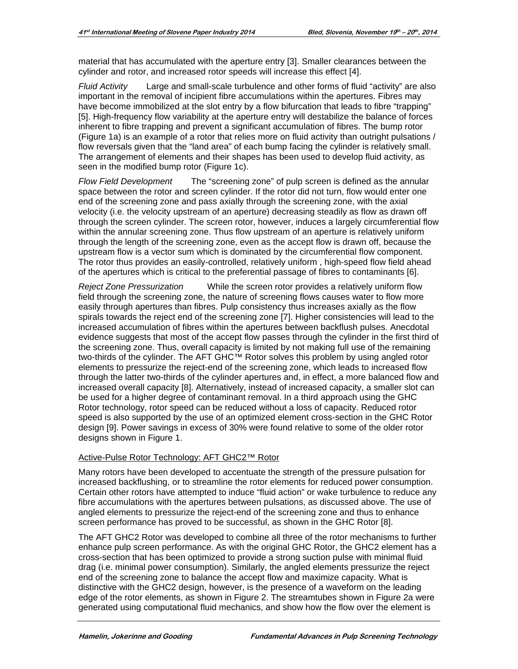material that has accumulated with the aperture entry [3]. Smaller clearances between the cylinder and rotor, and increased rotor speeds will increase this effect [4].

*Fluid Activity* Large and small-scale turbulence and other forms of fluid "activity" are also important in the removal of incipient fibre accumulations within the apertures. Fibres may have become immobilized at the slot entry by a flow bifurcation that leads to fibre "trapping" [5]. High-frequency flow variability at the aperture entry will destabilize the balance of forces inherent to fibre trapping and prevent a significant accumulation of fibres. The bump rotor (Figure 1a) is an example of a rotor that relies more on fluid activity than outright pulsations / flow reversals given that the "land area" of each bump facing the cylinder is relatively small. The arrangement of elements and their shapes has been used to develop fluid activity, as seen in the modified bump rotor (Figure 1c).

*Flow Field Development* The "screening zone" of pulp screen is defined as the annular space between the rotor and screen cylinder. If the rotor did not turn, flow would enter one end of the screening zone and pass axially through the screening zone, with the axial velocity (i.e. the velocity upstream of an aperture) decreasing steadily as flow as drawn off through the screen cylinder. The screen rotor, however, induces a largely circumferential flow within the annular screening zone. Thus flow upstream of an aperture is relatively uniform through the length of the screening zone, even as the accept flow is drawn off, because the upstream flow is a vector sum which is dominated by the circumferential flow component. The rotor thus provides an easily-controlled, relatively uniform , high-speed flow field ahead of the apertures which is critical to the preferential passage of fibres to contaminants [6].

*Reject Zone Pressurization* While the screen rotor provides a relatively uniform flow field through the screening zone, the nature of screening flows causes water to flow more easily through apertures than fibres. Pulp consistency thus increases axially as the flow spirals towards the reject end of the screening zone [7]. Higher consistencies will lead to the increased accumulation of fibres within the apertures between backflush pulses. Anecdotal evidence suggests that most of the accept flow passes through the cylinder in the first third of the screening zone. Thus, overall capacity is limited by not making full use of the remaining two-thirds of the cylinder. The AFT GHC™ Rotor solves this problem by using angled rotor elements to pressurize the reject-end of the screening zone, which leads to increased flow through the latter two-thirds of the cylinder apertures and, in effect, a more balanced flow and increased overall capacity [8]. Alternatively, instead of increased capacity, a smaller slot can be used for a higher degree of contaminant removal. In a third approach using the GHC Rotor technology, rotor speed can be reduced without a loss of capacity. Reduced rotor speed is also supported by the use of an optimized element cross-section in the GHC Rotor design [9]. Power savings in excess of 30% were found relative to some of the older rotor designs shown in Figure 1.

#### Active-Pulse Rotor Technology: AFT GHC2™ Rotor

Many rotors have been developed to accentuate the strength of the pressure pulsation for increased backflushing, or to streamline the rotor elements for reduced power consumption. Certain other rotors have attempted to induce "fluid action" or wake turbulence to reduce any fibre accumulations with the apertures between pulsations, as discussed above. The use of angled elements to pressurize the reject-end of the screening zone and thus to enhance screen performance has proved to be successful, as shown in the GHC Rotor [8].

The AFT GHC2 Rotor was developed to combine all three of the rotor mechanisms to further enhance pulp screen performance. As with the original GHC Rotor, the GHC2 element has a cross-section that has been optimized to provide a strong suction pulse with minimal fluid drag (i.e. minimal power consumption). Similarly, the angled elements pressurize the reject end of the screening zone to balance the accept flow and maximize capacity. What is distinctive with the GHC2 design, however, is the presence of a waveform on the leading edge of the rotor elements, as shown in Figure 2. The streamtubes shown in Figure 2a were generated using computational fluid mechanics, and show how the flow over the element is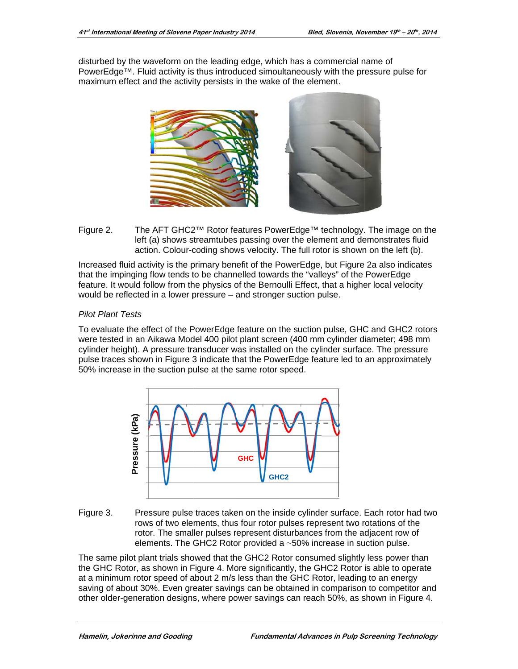disturbed by the waveform on the leading edge, which has a commercial name of PowerEdge™. Fluid activity is thus introduced simoultaneously with the pressure pulse for maximum effect and the activity persists in the wake of the element.



Figure 2. The AFT GHC2™ Rotor features PowerEdge™ technology. The image on the left (a) shows streamtubes passing over the element and demonstrates fluid action. Colour-coding shows velocity. The full rotor is shown on the left (b).

Increased fluid activity is the primary benefit of the PowerEdge, but Figure 2a also indicates that the impinging flow tends to be channelled towards the "valleys" of the PowerEdge feature. It would follow from the physics of the Bernoulli Effect, that a higher local velocity would be reflected in a lower pressure – and stronger suction pulse.

#### **Pilot Plant Tests**

To evaluate the effect of the PowerEdge feature on the suction pulse, GHC and GHC2 rotors were tested in an Aikawa Model 400 pilot plant screen (400 mm cylinder diameter; 498 mm cylinder height). A pressure transducer was installed on the cylinder surface. The pressure pulse traces shown in Figure 3 indicate that the PowerEdge feature led to an approximately 50% increase in the suction pulse at the same rotor speed.



Figure 3. Pressure pulse traces taken on the inside cylinder surface. Each rotor had two rows of two elements, thus four rotor pulses represent two rotations of the rotor. The smaller pulses represent disturbances from the adjacent row of elements. The GHC2 Rotor provided a ~50% increase in suction pulse.

The same pilot plant trials showed that the GHC2 Rotor consumed slightly less power than the GHC Rotor, as shown in Figure 4. More significantly, the GHC2 Rotor is able to operate at a minimum rotor speed of about 2 m/s less than the GHC Rotor, leading to an energy saving of about 30%. Even greater savings can be obtained in comparison to competitor and other older-generation designs, where power savings can reach 50%, as shown in Figure 4.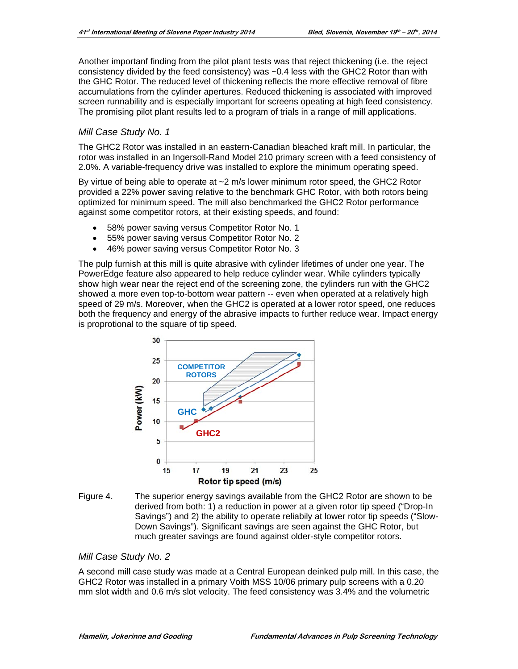Another importanf finding from the pilot plant tests was that reject thickening (i.e. the reject consistency divided by the feed consistency) was ~0.4 less with the GHC2 Rotor than with the GHC Rotor. The reduced level of thickening reflects the more effective removal of fibre accumulations from the cylinder apertures. Reduced thickening is associated with improved screen runnability and is especially important for screens opeating at high feed consistency. The promising pilot plant results led to a program of trials in a range of mill applications.

# Mill Case Study No. 1

The GHC2 Rotor was installed in an eastern-Canadian bleached kraft mill. In particular, the rotor was installed in an Ingersoll-Rand Model 210 primary screen with a feed consistency of 2.0%. A variable-frequency drive was installed to explore the minimum operating speed.

By virtue of being able to operate at ~2 m/s lower minimum rotor speed, the GHC2 Rotor provided a 22% power saving relative to the benchmark GHC Rotor, with both rotors being optimized for minimum speed. The mill also benchmarked the GHC2 Rotor performance against some competitor rotors, at their existing speeds, and found:

- $\bullet$ 58% power saving versus Competitor Rotor No. 1
- 55% power saving versus Competitor Rotor No. 2  $\bullet$
- 46% power saving versus Competitor Rotor No. 3

The pulp furnish at this mill is quite abrasive with cylinder lifetimes of under one year. The PowerEdge feature also appeared to help reduce cylinder wear. While cylinders typically show high wear near the reject end of the screening zone, the cylinders run with the GHC2 showed a more even top-to-bottom wear pattern -- even when operated at a relatively high speed of 29 m/s. Moreover, when the GHC2 is operated at a lower rotor speed, one reduces both the frequency and energy of the abrasive impacts to further reduce wear. Impact energy is proprotional to the square of tip speed.



Figure 4. The superior energy savings available from the GHC2 Rotor are shown to be derived from both: 1) a reduction in power at a given rotor tip speed ("Drop-In Savings") and 2) the ability to operate reliabily at lower rotor tip speeds ("Slow-Down Savings"). Significant savings are seen against the GHC Rotor, but much greater savings are found against older-style competitor rotors.

#### Mill Case Study No. 2

A second mill case study was made at a Central European deinked pulp mill. In this case, the GHC2 Rotor was installed in a primary Voith MSS 10/06 primary pulp screens with a 0.20 mm slot width and 0.6 m/s slot velocity. The feed consistency was 3.4% and the volumetric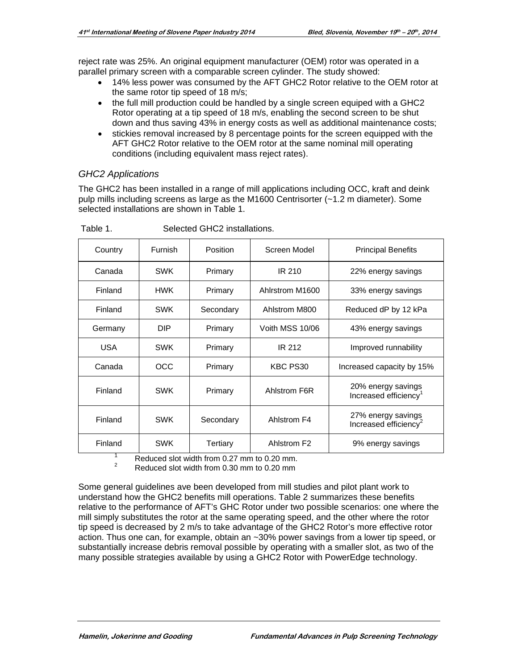reject rate was 25%. An original equipment manufacturer (OEM) rotor was operated in a parallel primary screen with a comparable screen cylinder. The study showed:

- 14% less power was consumed by the AFT GHC2 Rotor relative to the OEM rotor at the same rotor tip speed of 18 m/s;
- the full mill production could be handled by a single screen equiped with a GHC2 Rotor operating at a tip speed of 18 m/s, enabling the second screen to be shut down and thus saving 43% in energy costs as well as additional maintenance costs;
- stickies removal increased by 8 percentage points for the screen equipped with the AFT GHC2 Rotor relative to the OEM rotor at the same nominal mill operating conditions (including equivalent mass reject rates).

#### *GHC2 Applications*

The GHC2 has been installed in a range of mill applications including OCC, kraft and deink pulp mills including screens as large as the M1600 Centrisorter (~1.2 m diameter). Some selected installations are shown in Table 1.

| Country    | Furnish    | Position  | Screen Model            | <b>Principal Benefits</b>                               |  |
|------------|------------|-----------|-------------------------|---------------------------------------------------------|--|
| Canada     | <b>SWK</b> | Primary   | <b>IR 210</b>           | 22% energy savings                                      |  |
| Finland    | <b>HWK</b> | Primary   | Ahlrstrom M1600         | 33% energy savings                                      |  |
| Finland    | <b>SWK</b> | Secondary | Ahlstrom M800           | Reduced dP by 12 kPa                                    |  |
| Germany    | DIP.       | Primary   | Voith MSS 10/06         | 43% energy savings                                      |  |
| <b>USA</b> | <b>SWK</b> | Primary   | <b>IR 212</b>           | Improved runnability                                    |  |
| Canada     | OCC        | Primary   | KBC PS30                | Increased capacity by 15%                               |  |
| Finland    | <b>SWK</b> | Primary   | Ahlstrom F6R            | 20% energy savings<br>Increased efficiency <sup>1</sup> |  |
| Finland    | <b>SWK</b> | Secondary | Ahlstrom F4             | 27% energy savings<br>Increased efficiency <sup>2</sup> |  |
| Finland    | <b>SWK</b> | Tertiary  | Ahlstrom F <sub>2</sub> | 9% energy savings                                       |  |

Table 1. Selected GHC2 installations.

 $\frac{1}{2}$  Reduced slot width from 0.27 mm to 0.20 mm.<br>Reduced slot width from 0.30 mm to 0.20 mm

Some general guidelines ave been developed from mill studies and pilot plant work to understand how the GHC2 benefits mill operations. Table 2 summarizes these benefits relative to the performance of AFT's GHC Rotor under two possible scenarios: one where the mill simply substitutes the rotor at the same operating speed, and the other where the rotor tip speed is decreased by 2 m/s to take advantage of the GHC2 Rotor's more effective rotor action. Thus one can, for example, obtain an ~30% power savings from a lower tip speed, or substantially increase debris removal possible by operating with a smaller slot, as two of the many possible strategies available by using a GHC2 Rotor with PowerEdge technology.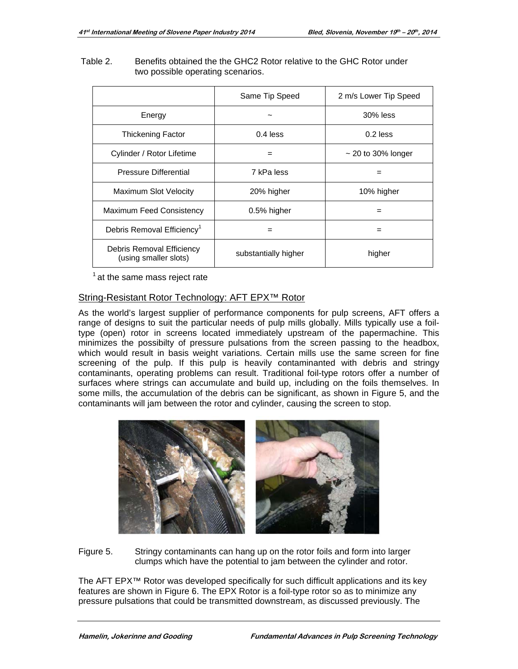#### Table 2. Benefits obtained the the GHC2 Rotor relative to the GHC Rotor under two possible operating scenarios.

|                                                    | Same Tip Speed       | 2 m/s Lower Tip Speed   |  |
|----------------------------------------------------|----------------------|-------------------------|--|
| Energy                                             |                      | $30\%$ less             |  |
| <b>Thickening Factor</b>                           | $0.4$ less           | $0.2$ less              |  |
| Cylinder / Rotor Lifetime                          |                      | $\sim$ 20 to 30% longer |  |
| <b>Pressure Differential</b>                       | 7 kPa less           |                         |  |
| <b>Maximum Slot Velocity</b>                       | 20% higher           | 10% higher              |  |
| <b>Maximum Feed Consistency</b>                    | 0.5% higher          |                         |  |
| Debris Removal Efficiency <sup>1</sup>             |                      | =                       |  |
| Debris Removal Efficiency<br>(using smaller slots) | substantially higher | higher                  |  |

 $1$  at the same mass reject rate

# String-Resistant Rotor Technology: AFT EPX™ Rotor

As the world's largest supplier of performance components for pulp screens, AFT offers a range of designs to suit the particular needs of pulp mills globally. Mills typically use a foiltype (open) rotor in screens located immediately upstream of the papermachine. This minimizes the possibilty of pressure pulsations from the screen passing to the headbox, which would result in basis weight variations. Certain mills use the same screen for fine screening of the pulp. If this pulp is heavily contaminanted with debris and stringy contaminants, operating problems can result. Traditional foil-type rotors offer a number of surfaces where strings can accumulate and build up, including on the foils themselves. In some mills, the accumulation of the debris can be significant, as shown in Figure 5, and the contaminants will jam between the rotor and cylinder, causing the screen to stop.



Figure 5. Stringy contaminants can hang up on the rotor foils and form into larger clumps which have the potential to jam between the cylinder and rotor.

The AFT EPX<sup>™</sup> Rotor was developed specifically for such difficult applications and its key features are shown in Figure 6. The EPX Rotor is a foil-type rotor so as to minimize any pressure pulsations that could be transmitted downstream, as discussed previously. The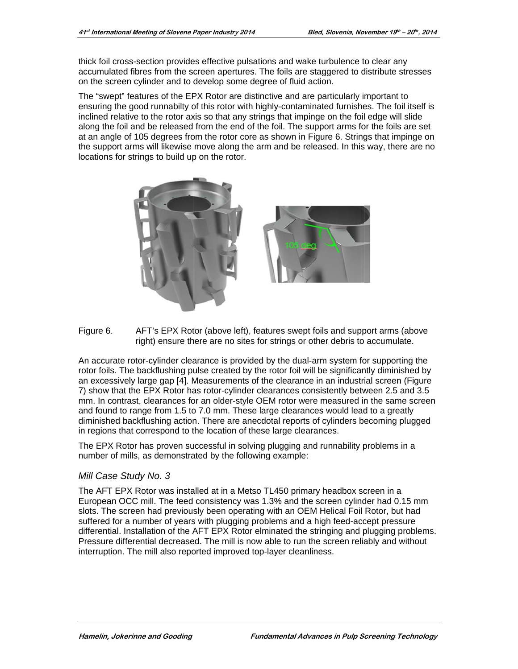thick foil cross-section provides effective pulsations and wake turbulence to clear any accumulated fibres from the screen apertures. The foils are staggered to distribute stresses on the screen cylinder and to develop some degree of fluid action.

The "swept" features of the EPX Rotor are distinctive and are particularly important to ensuring the good runnabilty of this rotor with highly-contaminated furnishes. The foil itself is inclined relative to the rotor axis so that any strings that impinge on the foil edge will slide along the foil and be released from the end of the foil. The support arms for the foils are set at an angle of 105 degrees from the rotor core as shown in Figure 6. Strings that impinge on the support arms will likewise move along the arm and be released. In this way, there are no locations for strings to build up on the rotor.



Figure 6. AFT's EPX Rotor (above left), features swept foils and support arms (above right) ensure there are no sites for strings or other debris to accumulate.

An accurate rotor-cylinder clearance is provided by the dual-arm system for supporting the rotor foils. The backflushing pulse created by the rotor foil will be significantly diminished by an excessively large gap [4]. Measurements of the clearance in an industrial screen (Figure 7) show that the EPX Rotor has rotor-cylinder clearances consistently between 2.5 and 3.5 mm. In contrast, clearances for an older-style OEM rotor were measured in the same screen and found to range from 1.5 to 7.0 mm. These large clearances would lead to a greatly diminished backflushing action. There are anecdotal reports of cylinders becoming plugged in regions that correspond to the location of these large clearances.

The EPX Rotor has proven successful in solving plugging and runnability problems in a number of mills, as demonstrated by the following example:

#### Mill Case Study No. 3

The AFT EPX Rotor was installed at in a Metso TL450 primary headbox screen in a European OCC mill. The feed consistency was 1.3% and the screen cylinder had 0.15 mm slots. The screen had previously been operating with an OEM Helical Foil Rotor, but had suffered for a number of years with plugging problems and a high feed-accept pressure differential. Installation of the AFT EPX Rotor elminated the stringing and plugging problems. Pressure differential decreased. The mill is now able to run the screen reliably and without interruption. The mill also reported improved top-layer cleanliness.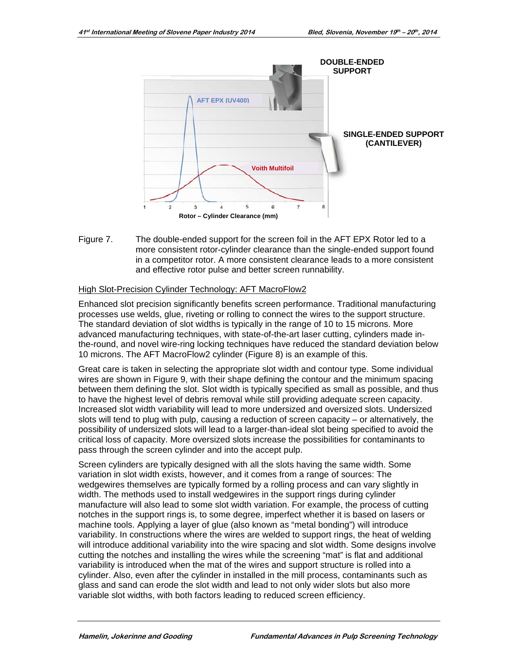

Figure 7. The double-ended support for the screen foil in the AFT EPX Rotor led to a more consistent rotor-cylinder clearance than the single-ended support found in a competitor rotor. A more consistent clearance leads to a more consistent and effective rotor pulse and better screen runnability.

#### High Slot-Precision Cylinder Technology: AFT MacroFlow2

Enhanced slot precision significantly benefits screen performance. Traditional manufacturing processes use welds, glue, riveting or rolling to connect the wires to the support structure. The standard deviation of slot widths is typically in the range of 10 to 15 microns. More advanced manufacturing techniques, with state-of-the-art laser cutting, cylinders made inthe-round, and novel wire-ring locking techniques have reduced the standard deviation below 10 microns. The AFT MacroFlow2 cylinder (Figure 8) is an example of this.

Great care is taken in selecting the appropriate slot width and contour type. Some individual wires are shown in Figure 9, with their shape defining the contour and the minimum spacing between them defining the slot. Slot width is typically specified as small as possible, and thus to have the highest level of debris removal while still providing adequate screen capacity. Increased slot width variability will lead to more undersized and oversized slots. Undersized slots will tend to plug with pulp, causing a reduction of screen capacity  $-$  or alternatively, the possibility of undersized slots will lead to a larger-than-ideal slot being specified to avoid the critical loss of capacity. More oversized slots increase the possibilities for contaminants to pass through the screen cylinder and into the accept pulp.

Screen cylinders are typically designed with all the slots having the same width. Some variation in slot width exists, however, and it comes from a range of sources: The wedgewires themselves are typically formed by a rolling process and can vary slightly in width. The methods used to install wedgewires in the support rings during cylinder manufacture will also lead to some slot width variation. For example, the process of cutting notches in the support rings is, to some degree, imperfect whether it is based on lasers or machine tools. Applying a layer of glue (also known as "metal bonding") will introduce variability. In constructions where the wires are welded to support rings, the heat of welding will introduce additional variability into the wire spacing and slot width. Some designs involve cutting the notches and installing the wires while the screening "mat" is flat and additional variability is introduced when the mat of the wires and support structure is rolled into a cylinder. Also, even after the cylinder in installed in the mill process, contaminants such as glass and sand can erode the slot width and lead to not only wider slots but also more variable slot widths, with both factors leading to reduced screen efficiency.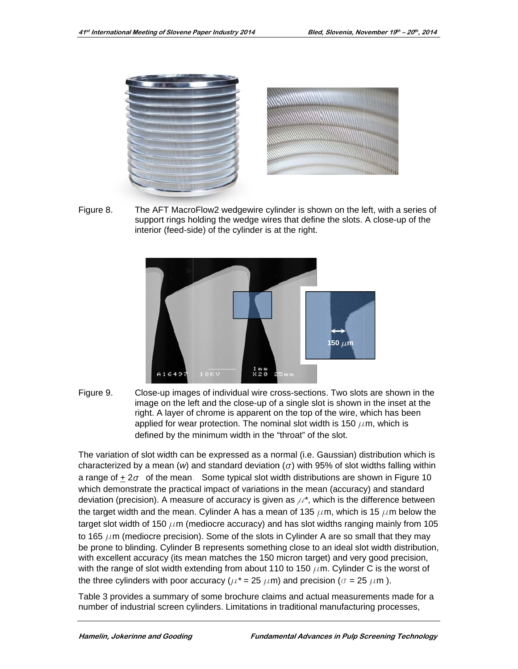

Figure 8. The AFT MacroFlow2 wedgewire cylinder is shown on the left, with a series of support rings holding the wedge wires that define the slots. A close-up of the interior (feed-side) of the cylinder is at the right.



Figure 9. Close-up images of individual wire cross-sections. Two slots are shown in the image on the left and the close-up of a single slot is shown in the inset at the right. A layer of chrome is apparent on the top of the wire, which has been applied for wear protection. The nominal slot width is 150  $\mu$ m, which is defined by the minimum width in the "throat" of the slot.

The variation of slot width can be expressed as a normal (i.e. Gaussian) distribution which is characterized by a mean (w) and standard deviation ( $\sigma$ ) with 95% of slot widths falling within a range of  $\pm 2\sigma$  of the mean. Some typical slot width distributions are shown in Figure 10 which demonstrate the practical impact of variations in the mean (accuracy) and standard deviation (precision). A measure of accuracy is given as  $\mu^*$ , which is the difference between the target width and the mean. Cylinder A has a mean of 135  $\mu$ m, which is 15  $\mu$ m below the target slot width of 150  $\mu$ m (mediocre accuracy) and has slot widths ranging mainly from 105 to 165  $\mu$ m (mediocre precision). Some of the slots in Cylinder A are so small that they may be prone to blinding. Cylinder B represents something close to an ideal slot width distribution, with excellent accuracy (its mean matches the 150 micron target) and very good precision, with the range of slot width extending from about 110 to 150  $\mu$ m. Cylinder C is the worst of the three cylinders with poor accuracy ( $\mu^*$  = 25  $\mu$ m) and precision ( $\sigma$  = 25  $\mu$ m).

Table 3 provides a summary of some brochure claims and actual measurements made for a number of industrial screen cylinders. Limitations in traditional manufacturing processes,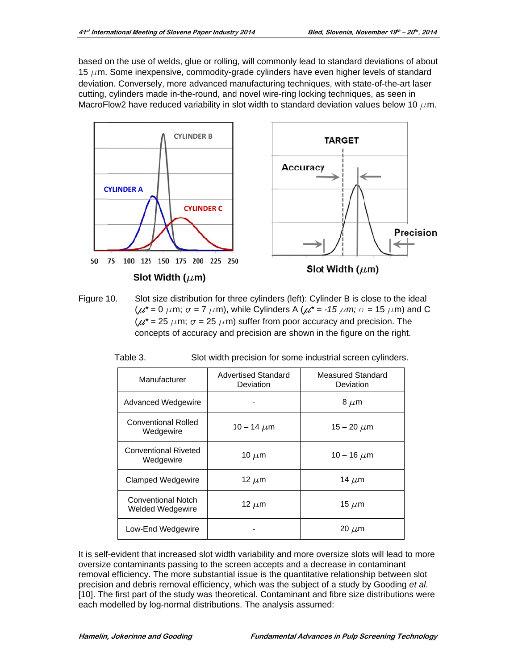based on the use of welds, glue or rolling, will commonly lead to standard deviations of about 15  $\mu$ m. Some inexpensive, commodity-grade cylinders have even higher levels of standard deviation. Conversely, more advanced manufacturing techniques, with state-of-the-art laser cutting, cylinders made in-the-round, and novel wire-ring locking techniques, as seen in MacroFlow2 have reduced variability in slot width to standard deviation values below 10  $\mu$ m.



Figure 10. Slot size distribution for three cylinders (left): Cylinder B is close to the ideal  $(\mu^* = 0 \mu m; \sigma = 7 \mu m)$ , while Cylinders A  $(\mu^* = -15 \mu m; \sigma = 15 \mu m)$  and C ( $\mu^*$  = 25  $\mu$ m;  $\sigma$  = 25  $\mu$ m) suffer from poor accuracy and precision. The concepts of accuracy and precision are shown in the figure on the right.

| Table 3. | Slot width precision for some industrial screen cylinders. |  |  |
|----------|------------------------------------------------------------|--|--|
|          |                                                            |  |  |

| Manufacturer                                         | Advertised Standard<br>Deviation | Measured Standard<br>Deviation |  |
|------------------------------------------------------|----------------------------------|--------------------------------|--|
| Advanced Wedgewire                                   |                                  | 8 $\mu$ m                      |  |
| <b>Conventional Rolled</b><br>Wedgewire              | 10 – 14 $\mu$ m                  | 15 – 20 $\mu$ m                |  |
| <b>Conventional Riveted</b><br>Wedgewire             | 10 $\mu$ m                       | 10 – 16 $\mu$ m                |  |
| Clamped Wedgewire                                    | 12 $\mu$ m                       | 14 $\mu$ m                     |  |
| <b>Conventional Notch</b><br><b>Welded Wedgewire</b> | 12 $\mu$ m                       | 15 $\mu$ m                     |  |
| Low-End Wedgewire                                    |                                  | 20 $\mu$ m                     |  |

It is self-evident that increased slot width variability and more oversize slots will lead to more oversize contaminants passing to the screen accepts and a decrease in contaminant removal efficiency. The more substantial issue is the quantitative relationship between slot precision and debris removal efficiency, which was the subject of a study by Gooding et al. [10]. The first part of the study was theoretical. Contaminant and fibre size distributions were each modelled by log-normal distributions. The analysis assumed: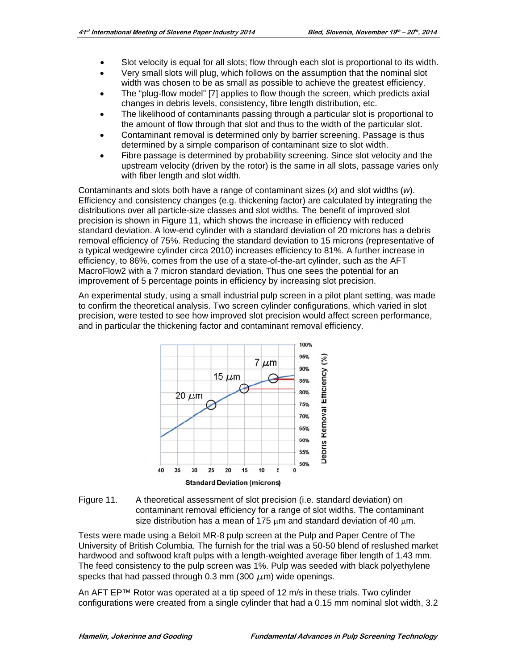- Slot velocity is equal for all slots; flow through each slot is proportional to its width.  $\bullet$
- Very small slots will plug, which follows on the assumption that the nominal slot width was chosen to be as small as possible to achieve the greatest efficiency.
- The "plug-flow model" [7] applies to flow though the screen, which predicts axial changes in debris levels, consistency, fibre length distribution, etc.
- The likelihood of contaminants passing through a particular slot is proportional to the amount of flow through that slot and thus to the width of the particular slot.
- Contaminant removal is determined only by barrier screening. Passage is thus determined by a simple comparison of contaminant size to slot width.
- Fibre passage is determined by probability screening. Since slot velocity and the upstream velocity (driven by the rotor) is the same in all slots, passage varies only with fiber length and slot width.

Contaminants and slots both have a range of contaminant sizes  $(x)$  and slot widths  $(w)$ . Efficiency and consistency changes (e.g. thickening factor) are calculated by integrating the distributions over all particle-size classes and slot widths. The benefit of improved slot precision is shown in Figure 11, which shows the increase in efficiency with reduced standard deviation. A low-end cylinder with a standard deviation of 20 microns has a debris removal efficiency of 75%. Reducing the standard deviation to 15 microns (representative of a typical wedgewire cylinder circa 2010) increases efficiency to 81%. A further increase in efficiency, to 86%, comes from the use of a state-of-the-art cylinder, such as the AFT MacroFlow2 with a 7 micron standard deviation. Thus one sees the potential for an improvement of 5 percentage points in efficiency by increasing slot precision.

An experimental study, using a small industrial pulp screen in a pilot plant setting, was made to confirm the theoretical analysis. Two screen cylinder configurations, which varied in slot precision, were tested to see how improved slot precision would affect screen performance, and in particular the thickening factor and contaminant removal efficiency.





Tests were made using a Beloit MR-8 pulp screen at the Pulp and Paper Centre of The University of British Columbia. The furnish for the trial was a 50-50 blend of reslushed market hardwood and softwood kraft pulps with a length-weighted average fiber length of 1.43 mm. The feed consistency to the pulp screen was 1%. Pulp was seeded with black polyethylene specks that had passed through 0.3 mm (300  $\mu$ m) wide openings.

An AFT EP™ Rotor was operated at a tip speed of 12 m/s in these trials. Two cylinder configurations were created from a single cylinder that had a 0.15 mm nominal slot width, 3.2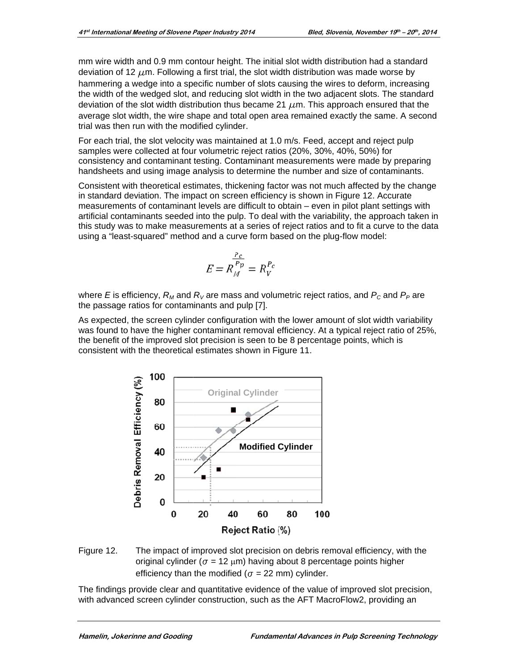mm wire width and 0.9 mm contour height. The initial slot width distribution had a standard deviation of 12  $\mu$ m. Following a first trial, the slot width distribution was made worse by hammering a wedge into a specific number of slots causing the wires to deform, increasing the width of the wedged slot, and reducing slot width in the two adjacent slots. The standard deviation of the slot width distribution thus became 21  $\mu$ m. This approach ensured that the average slot width, the wire shape and total open area remained exactly the same. A second trial was then run with the modified cylinder.

For each trial, the slot velocity was maintained at 1.0 m/s. Feed, accept and reject pulp samples were collected at four volumetric reject ratios (20%, 30%, 40%, 50%) for consistency and contaminant testing. Contaminant measurements were made by preparing handsheets and using image analysis to determine the number and size of contaminants.

Consistent with theoretical estimates, thickening factor was not much affected by the change in standard deviation. The impact on screen efficiency is shown in Figure 12. Accurate measurements of contaminant levels are difficult to obtain - even in pilot plant settings with artificial contaminants seeded into the pulp. To deal with the variability, the approach taken in this study was to make measurements at a series of reject ratios and to fit a curve to the data using a "least-squared" method and a curve form based on the plug-flow model:

$$
E = R_M^{\frac{P_c}{P_p}} = R_V^{P_c}
$$

where E is efficiency,  $R_M$  and  $R_V$  are mass and volumetric reject ratios, and  $P_C$  and  $P_P$  are the passage ratios for contaminants and pulp [7].

As expected, the screen cylinder configuration with the lower amount of slot width variability was found to have the higher contaminant removal efficiency. At a typical reject ratio of 25%, the benefit of the improved slot precision is seen to be 8 percentage points, which is consistent with the theoretical estimates shown in Figure 11.



Figure 12. The impact of improved slot precision on debris removal efficiency, with the original cylinder ( $\sigma$  = 12  $\mu$ m) having about 8 percentage points higher efficiency than the modified ( $\sigma$  = 22 mm) cylinder.

The findings provide clear and quantitative evidence of the value of improved slot precision, with advanced screen cylinder construction, such as the AFT MacroFlow2, providing an